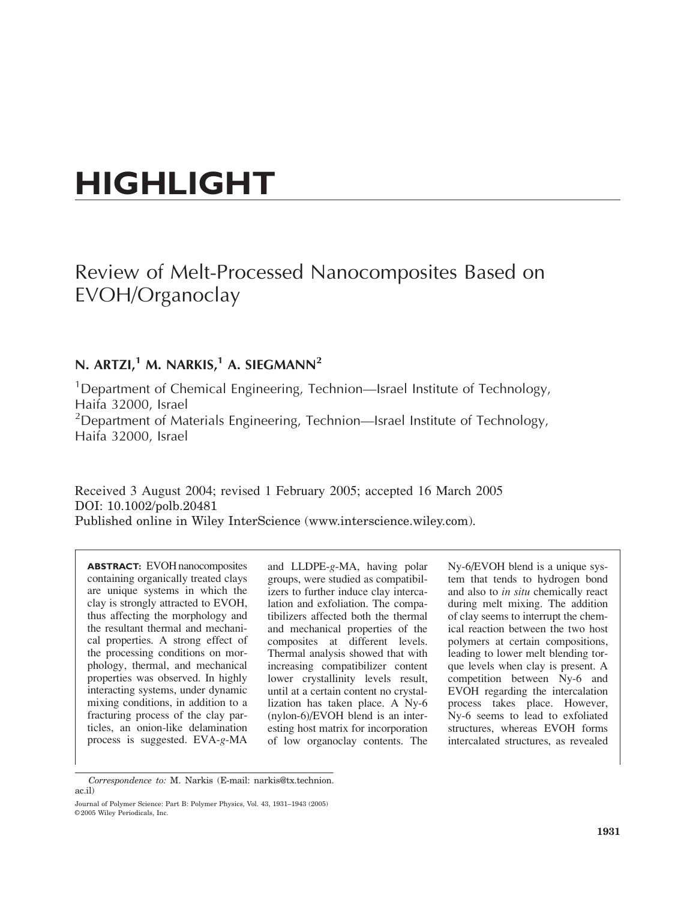# **HIGHLIGHT**

### Review of Melt-Processed Nanocomposites Based on EVOH/Organoclay

#### N. ARTZI,<sup>1</sup> M. NARKIS,<sup>1</sup> A. SIEGMANN<sup>2</sup>

<sup>1</sup>Department of Chemical Engineering, Technion—Israel Institute of Technology, Haifa 32000, Israel <sup>2</sup>Department of Materials Engineering, Technion—Israel Institute of Technology, Haifa 32000, Israel

Received 3 August 2004; revised 1 February 2005; accepted 16 March 2005 DOI: 10.1002/polb.20481 Published online in Wiley InterScience (www.interscience.wiley.com).

**ABSTRACT:** EVOH nanocomposites containing organically treated clays are unique systems in which the clay is strongly attracted to EVOH, thus affecting the morphology and the resultant thermal and mechanical properties. A strong effect of the processing conditions on morphology, thermal, and mechanical properties was observed. In highly interacting systems, under dynamic mixing conditions, in addition to a fracturing process of the clay particles, an onion-like delamination process is suggested. EVA-g-MA

and LLDPE-g-MA, having polar groups, were studied as compatibilizers to further induce clay intercalation and exfoliation. The compatibilizers affected both the thermal and mechanical properties of the composites at different levels. Thermal analysis showed that with increasing compatibilizer content lower crystallinity levels result, until at a certain content no crystallization has taken place. A Ny-6 (nylon-6)/EVOH blend is an interesting host matrix for incorporation of low organoclay contents. The Ny-6/EVOH blend is a unique system that tends to hydrogen bond and also to in situ chemically react during melt mixing. The addition of clay seems to interrupt the chemical reaction between the two host polymers at certain compositions, leading to lower melt blending torque levels when clay is present. A competition between Ny-6 and EVOH regarding the intercalation process takes place. However, Ny-6 seems to lead to exfoliated structures, whereas EVOH forms intercalated structures, as revealed

Correspondence to: M. Narkis (E-mail: narkis@tx.technion. ac.il)

Journal of Polymer Science: Part B: Polymer Physics, Vol. 43, 1931–1943 (2005) ©2005 Wiley Periodicals, Inc.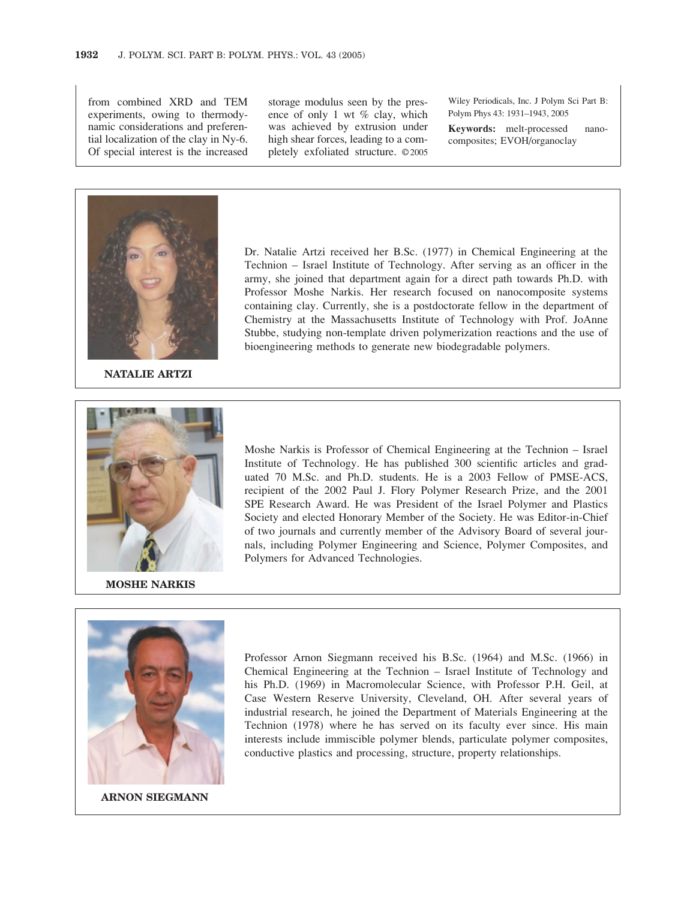from combined XRD and TEM experiments, owing to thermodynamic considerations and preferential localization of the clay in Ny-6. Of special interest is the increased storage modulus seen by the presence of only 1 wt % clay, which was achieved by extrusion under high shear forces, leading to a completely exfoliated structure. ©2005

Wiley Periodicals, Inc. J Polym Sci Part B: Polym Phys 43: 1931–1943, 2005

Keywords: melt-processed nanocomposites; EVOH/organoclay



NATALIE ARTZI

Dr. Natalie Artzi received her B.Sc. (1977) in Chemical Engineering at the Technion – Israel Institute of Technology. After serving as an officer in the army, she joined that department again for a direct path towards Ph.D. with Professor Moshe Narkis. Her research focused on nanocomposite systems containing clay. Currently, she is a postdoctorate fellow in the department of Chemistry at the Massachusetts Institute of Technology with Prof. JoAnne Stubbe, studying non-template driven polymerization reactions and the use of bioengineering methods to generate new biodegradable polymers.



Moshe Narkis is Professor of Chemical Engineering at the Technion – Israel Institute of Technology. He has published 300 scientific articles and graduated 70 M.Sc. and Ph.D. students. He is a 2003 Fellow of PMSE-ACS, recipient of the 2002 Paul J. Flory Polymer Research Prize, and the 2001 SPE Research Award. He was President of the Israel Polymer and Plastics Society and elected Honorary Member of the Society. He was Editor-in-Chief of two journals and currently member of the Advisory Board of several journals, including Polymer Engineering and Science, Polymer Composites, and Polymers for Advanced Technologies.

MOSHE NARKISTER



Professor Arnon Siegmann received his B.Sc. (1964) and M.Sc. (1966) in Chemical Engineering at the Technion – Israel Institute of Technology and his Ph.D. (1969) in Macromolecular Science, with Professor P.H. Geil, at Case Western Reserve University, Cleveland, OH. After several years of industrial research, he joined the Department of Materials Engineering at the Technion (1978) where he has served on its faculty ever since. His main interests include immiscible polymer blends, particulate polymer composites, conductive plastics and processing, structure, property relationships.

**ARNON SIEGMANN**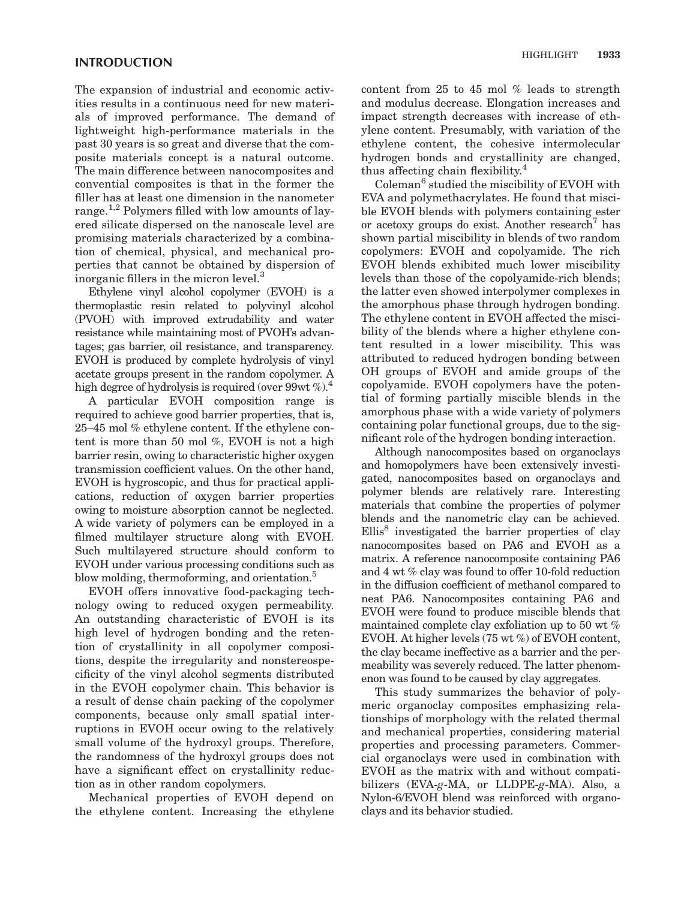### INTRODUCTION

The expansion of industrial and economic activities results in a continuous need for new materials of improved performance. The demand of lightweight high-performance materials in the past 30 years is so great and diverse that the composite materials concept is a natural outcome. The main difference between nanocomposites and convential composites is that in the former the filler has at least one dimension in the nanometer range.<sup>1,2</sup> Polymers filled with low amounts of layered silicate dispersed on the nanoscale level are promising materials characterized by a combination of chemical, physical, and mechanical properties that cannot be obtained by dispersion of inorganic fillers in the micron level.<sup>3</sup>

Ethylene vinyl alcohol copolymer (EVOH) is a thermoplastic resin related to polyvinyl alcohol (PVOH) with improved extrudability and water resistance while maintaining most of PVOH's advantages; gas barrier, oil resistance, and transparency. EVOH is produced by complete hydrolysis of vinyl acetate groups present in the random copolymer. A high degree of hydrolysis is required (over  $99wt \%$ ).<sup>4</sup>

A particular EVOH composition range is required to achieve good barrier properties, that is, 25–45 mol % ethylene content. If the ethylene content is more than 50 mol %, EVOH is not a high barrier resin, owing to characteristic higher oxygen transmission coefficient values. On the other hand, EVOH is hygroscopic, and thus for practical applications, reduction of oxygen barrier properties owing to moisture absorption cannot be neglected. A wide variety of polymers can be employed in a filmed multilayer structure along with EVOH. Such multilayered structure should conform to EVOH under various processing conditions such as blow molding, thermoforming, and orientation.<sup>5</sup>

EVOH offers innovative food-packaging technology owing to reduced oxygen permeability. An outstanding characteristic of EVOH is its high level of hydrogen bonding and the retention of crystallinity in all copolymer compositions, despite the irregularity and nonstereospecificity of the vinyl alcohol segments distributed in the EVOH copolymer chain. This behavior is a result of dense chain packing of the copolymer components, because only small spatial interruptions in EVOH occur owing to the relatively small volume of the hydroxyl groups. Therefore, the randomness of the hydroxyl groups does not have a significant effect on crystallinity reduction as in other random copolymers.

Mechanical properties of EVOH depend on the ethylene content. Increasing the ethylene

content from 25 to 45 mol % leads to strength and modulus decrease. Elongation increases and impact strength decreases with increase of ethylene content. Presumably, with variation of the ethylene content, the cohesive intermolecular hydrogen bonds and crystallinity are changed, thus affecting chain flexibility. $4$ 

Coleman<sup>6</sup> studied the miscibility of EVOH with EVA and polymethacrylates. He found that miscible EVOH blends with polymers containing ester or acetoxy groups do exist. Another research<sup>7</sup> has shown partial miscibility in blends of two random copolymers: EVOH and copolyamide. The rich EVOH blends exhibited much lower miscibility levels than those of the copolyamide-rich blends; the latter even showed interpolymer complexes in the amorphous phase through hydrogen bonding. The ethylene content in EVOH affected the miscibility of the blends where a higher ethylene content resulted in a lower miscibility. This was attributed to reduced hydrogen bonding between OH groups of EVOH and amide groups of the copolyamide. EVOH copolymers have the potential of forming partially miscible blends in the amorphous phase with a wide variety of polymers containing polar functional groups, due to the significant role of the hydrogen bonding interaction.

Although nanocomposites based on organoclays and homopolymers have been extensively investigated, nanocomposites based on organoclays and polymer blends are relatively rare. Interesting materials that combine the properties of polymer blends and the nanometric clay can be achieved. Ellis8 investigated the barrier properties of clay nanocomposites based on PA6 and EVOH as a matrix. A reference nanocomposite containing PA6 and 4 wt % clay was found to offer 10-fold reduction in the diffusion coefficient of methanol compared to neat PA6. Nanocomposites containing PA6 and EVOH were found to produce miscible blends that maintained complete clay exfoliation up to 50 wt % EVOH. At higher levels (75 wt %) of EVOH content, the clay became ineffective as a barrier and the permeability was severely reduced. The latter phenomenon was found to be caused by clay aggregates.

This study summarizes the behavior of polymeric organoclay composites emphasizing relationships of morphology with the related thermal and mechanical properties, considering material properties and processing parameters. Commercial organoclays were used in combination with EVOH as the matrix with and without compatibilizers (EVA-g-MA, or LLDPE-g-MA). Also, a Nylon-6/EVOH blend was reinforced with organoclays and its behavior studied.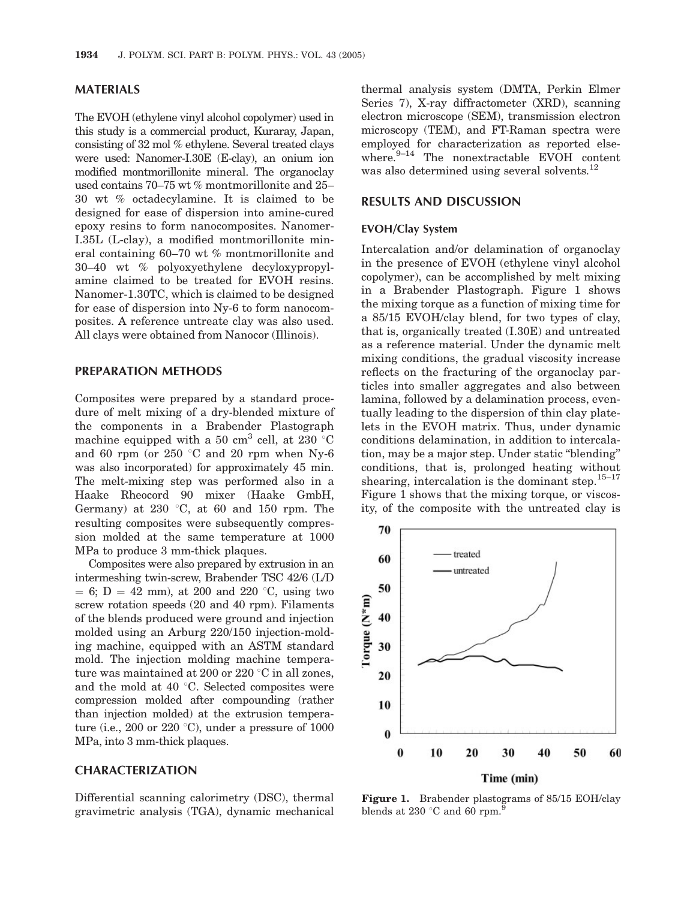#### **MATERIALS** MATERIALS

The EVOH (ethylene vinyl alcohol copolymer) used in this study is a commercial product, Kuraray, Japan, consisting of 32 mol % ethylene. Several treated clays were used: Nanomer-I.30E (E-clay), an onium ion modified montmorillonite mineral. The organoclay used contains 70–75 wt % montmorillonite and 25– 30 wt % octadecylamine. It is claimed to be designed for ease of dispersion into amine-cured epoxy resins to form nanocomposites. Nanomer-I.35L (L-clay), a modified montmorillonite mineral containing 60–70 wt % montmorillonite and 30–40 wt % polyoxyethylene decyloxypropylamine claimed to be treated for EVOH resins. Nanomer-1.30TC, which is claimed to be designed for ease of dispersion into Ny-6 to form nanocomposites. A reference untreate clay was also used. All clays were obtained from Nanocor (Illinois).

### PREPARATION METHODS

Composites were prepared by a standard procedure of melt mixing of a dry-blended mixture of the components in a Brabender Plastograph machine equipped with a 50 cm<sup>3</sup> cell, at 230 °C and 60 rpm (or  $250$  °C and 20 rpm when Ny-6 was also incorporated) for approximately 45 min. The melt-mixing step was performed also in a Haake Rheocord 90 mixer (Haake GmbH, Germany) at  $230$  °C, at 60 and 150 rpm. The resulting composites were subsequently compression molded at the same temperature at 1000 MPa to produce 3 mm-thick plaques.

Composites were also prepared by extrusion in an intermeshing twin-screw, Brabender TSC 42/6 (L/D  $= 6$ ; D  $= 42$  mm), at 200 and 220 °C, using two screw rotation speeds (20 and 40 rpm). Filaments of the blends produced were ground and injection molded using an Arburg 220/150 injection-molding machine, equipped with an ASTM standard mold. The injection molding machine temperature was maintained at 200 or 220  $\degree$ C in all zones, and the mold at 40 °C. Selected composites were compression molded after compounding (rather than injection molded) at the extrusion temperature (i.e., 200 or 220 °C), under a pressure of 1000 MPa, into 3 mm-thick plaques.

### CHARACTERIZATION

Differential scanning calorimetry (DSC), thermal gravimetric analysis (TGA), dynamic mechanical thermal analysis system (DMTA, Perkin Elmer Series 7), X-ray diffractometer (XRD), scanning electron microscope (SEM), transmission electron microscopy (TEM), and FT-Raman spectra were employed for characterization as reported elsewhere.<sup>9-14</sup> The nonextractable EVOH content was also determined using several solvents.<sup>12</sup>

### RESULTS AND DISCUSSION

#### EVOH/Clay System

Intercalation and/or delamination of organoclay in the presence of EVOH (ethylene vinyl alcohol copolymer), can be accomplished by melt mixing in a Brabender Plastograph. Figure 1 shows the mixing torque as a function of mixing time for a 85/15 EVOH/clay blend, for two types of clay, that is, organically treated (I.30E) and untreated as a reference material. Under the dynamic melt mixing conditions, the gradual viscosity increase reflects on the fracturing of the organoclay particles into smaller aggregates and also between lamina, followed by a delamination process, eventually leading to the dispersion of thin clay platelets in the EVOH matrix. Thus, under dynamic conditions delamination, in addition to intercalation, may be a major step. Under static ''blending'' conditions, that is, prolonged heating without shearing, intercalation is the dominant step. $15-17$ Figure 1 shows that the mixing torque, or viscosity, of the composite with the untreated clay is



Figure 1. Brabender plastograms of 85/15 EOH/clay blends at 230  $\degree$ C and 60 rpm.<sup>9</sup>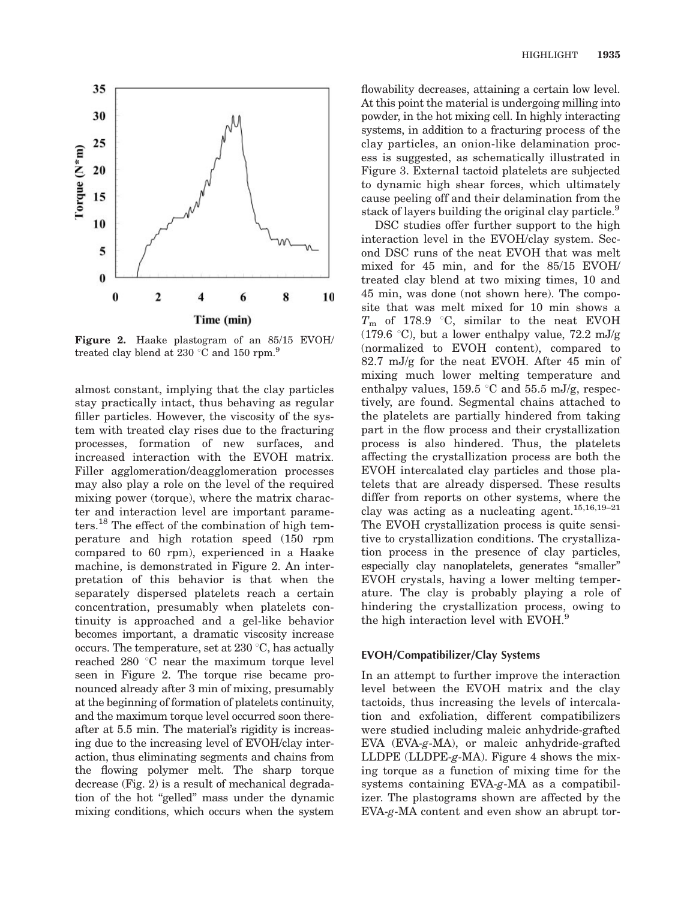

Figure 2. Haake plastogram of an 85/15 EVOH/ treated clay blend at 230  $\degree$ C and 150 rpm.<sup>9</sup>

almost constant, implying that the clay particles stay practically intact, thus behaving as regular filler particles. However, the viscosity of the system with treated clay rises due to the fracturing processes, formation of new surfaces, and increased interaction with the EVOH matrix. Filler agglomeration/deagglomeration processes may also play a role on the level of the required mixing power (torque), where the matrix character and interaction level are important parameters.18 The effect of the combination of high temperature and high rotation speed (150 rpm compared to 60 rpm), experienced in a Haake machine, is demonstrated in Figure 2. An interpretation of this behavior is that when the separately dispersed platelets reach a certain concentration, presumably when platelets continuity is approached and a gel-like behavior becomes important, a dramatic viscosity increase occurs. The temperature, set at  $230\text{ °C}$ , has actually reached 280  $\degree$ C near the maximum torque level seen in Figure 2. The torque rise became pronounced already after 3 min of mixing, presumably at the beginning of formation of platelets continuity, and the maximum torque level occurred soon thereafter at 5.5 min. The material's rigidity is increasing due to the increasing level of EVOH/clay interaction, thus eliminating segments and chains from the flowing polymer melt. The sharp torque decrease (Fig. 2) is a result of mechanical degradation of the hot ''gelled'' mass under the dynamic mixing conditions, which occurs when the system

flowability decreases, attaining a certain low level. At this point the material is undergoing milling into powder, in the hot mixing cell. In highly interacting systems, in addition to a fracturing process of the clay particles, an onion-like delamination process is suggested, as schematically illustrated in Figure 3. External tactoid platelets are subjected to dynamic high shear forces, which ultimately cause peeling off and their delamination from the stack of layers building the original clay particle.<sup>9</sup>

DSC studies offer further support to the high interaction level in the EVOH/clay system. Second DSC runs of the neat EVOH that was melt mixed for 45 min, and for the 85/15 EVOH/ treated clay blend at two mixing times, 10 and 45 min, was done (not shown here). The composite that was melt mixed for 10 min shows a  $T<sub>m</sub>$  of 178.9 °C, similar to the neat EVOH (179.6 °C), but a lower enthalpy value, 72.2 mJ/g (normalized to EVOH content), compared to 82.7 mJ/g for the neat EVOH. After 45 min of mixing much lower melting temperature and enthalpy values, 159.5  $\degree$ C and 55.5 mJ/g, respectively, are found. Segmental chains attached to the platelets are partially hindered from taking part in the flow process and their crystallization process is also hindered. Thus, the platelets affecting the crystallization process are both the EVOH intercalated clay particles and those platelets that are already dispersed. These results differ from reports on other systems, where the clay was acting as a nucleating agent.<sup>15,16,19-21</sup> The EVOH crystallization process is quite sensitive to crystallization conditions. The crystallization process in the presence of clay particles, especially clay nanoplatelets, generates ''smaller'' EVOH crystals, having a lower melting temperature. The clay is probably playing a role of hindering the crystallization process, owing to the high interaction level with EVOH.<sup>9</sup>

#### EVOH/Compatibilizer/Clay Systems

In an attempt to further improve the interaction level between the EVOH matrix and the clay tactoids, thus increasing the levels of intercalation and exfoliation, different compatibilizers were studied including maleic anhydride-grafted EVA (EVA-g-MA), or maleic anhydride-grafted LLDPE (LLDPE-g-MA). Figure 4 shows the mixing torque as a function of mixing time for the systems containing EVA-g-MA as a compatibilizer. The plastograms shown are affected by the EVA-g-MA content and even show an abrupt tor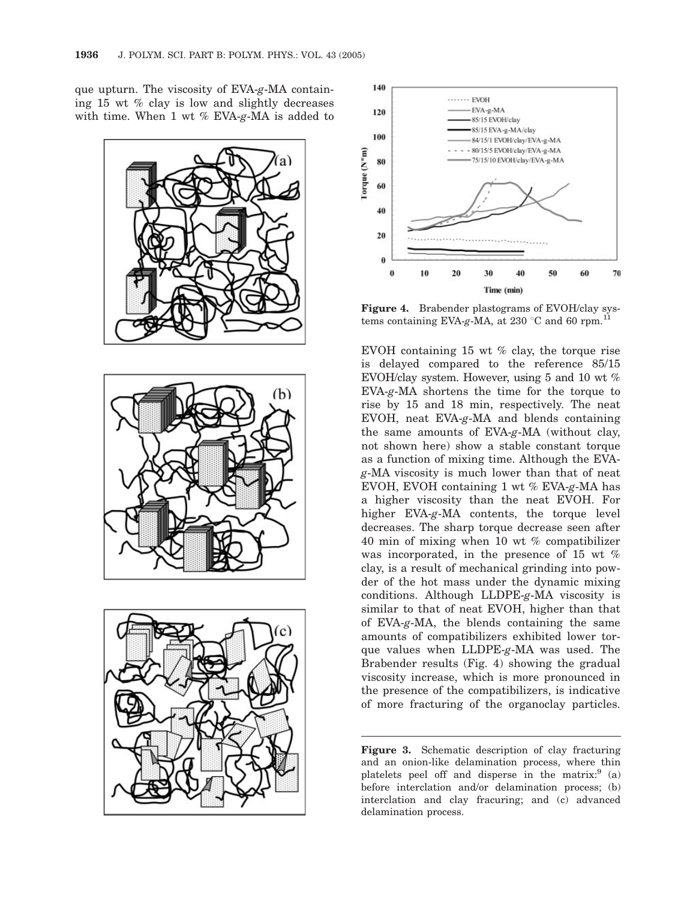que upturn. The viscosity of EVA-g-MA containing 15 wt % clay is low and slightly decreases with time. When 1 wt % EVA-g-MA is added to





Figure 4. Brabender plastograms of EVOH/clay systems containing EVA-g-MA, at 230  $\degree$ C and 60 rpm.<sup>11</sup>

EVOH containing 15 wt % clay, the torque rise is delayed compared to the reference 85/15 EVOH/clay system. However, using 5 and 10 wt % EVA-g-MA shortens the time for the torque to rise by 15 and 18 min, respectively. The neat EVOH, neat EVA-g-MA and blends containing the same amounts of EVA-g-MA (without clay, not shown here) show a stable constant torque as a function of mixing time. Although the EVAg-MA viscosity is much lower than that of neat EVOH, EVOH containing 1 wt % EVA-g-MA has a higher viscosity than the neat EVOH. For higher EVA-g-MA contents, the torque level decreases. The sharp torque decrease seen after 40 min of mixing when 10 wt % compatibilizer was incorporated, in the presence of 15 wt % clay, is a result of mechanical grinding into powder of the hot mass under the dynamic mixing conditions. Although LLDPE-g-MA viscosity is similar to that of neat EVOH, higher than that of EVA-g-MA, the blends containing the same amounts of compatibilizers exhibited lower torque values when LLDPE-g-MA was used. The Brabender results (Fig. 4) showing the gradual viscosity increase, which is more pronounced in the presence of the compatibilizers, is indicative of more fracturing of the organoclay particles.

Figure 3. Schematic description of clay fracturing and an onion-like delamination process, where thin platelets peel off and disperse in the matrix: $9$  (a) before interclation and/or delamination process; (b) interclation and clay fracuring; and (c) advanced delamination process.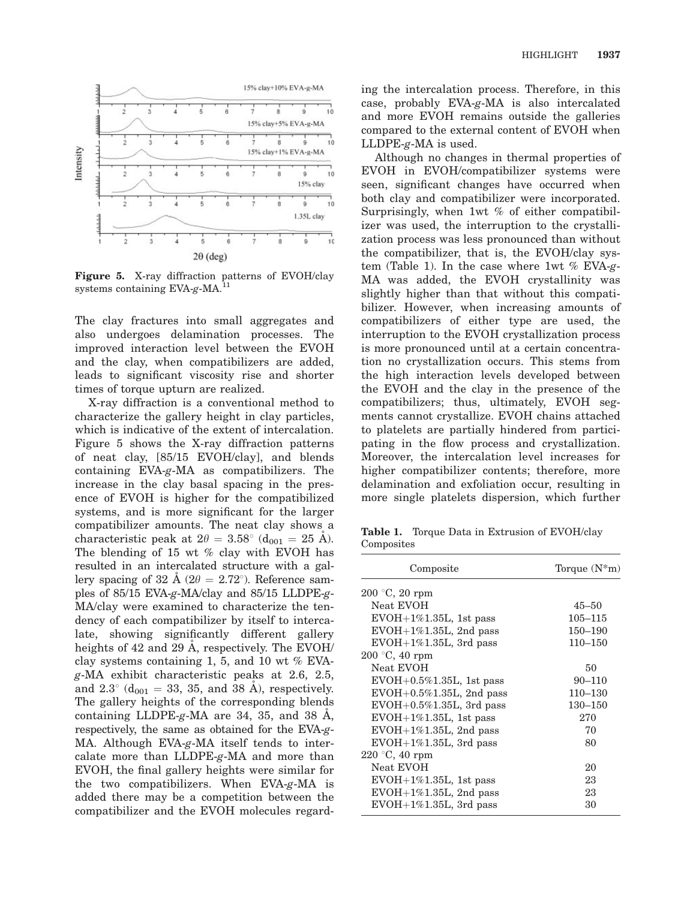

Figure 5. X-ray diffraction patterns of EVOH/clay systems containing  $EVA-g-MA.<sup>11</sup>$ 

The clay fractures into small aggregates and also undergoes delamination processes. The improved interaction level between the EVOH and the clay, when compatibilizers are added, leads to significant viscosity rise and shorter times of torque upturn are realized.

X-ray diffraction is a conventional method to characterize the gallery height in clay particles, which is indicative of the extent of intercalation. Figure 5 shows the X-ray diffraction patterns of neat clay, [85/15 EVOH/clay], and blends containing EVA-g-MA as compatibilizers. The increase in the clay basal spacing in the presence of EVOH is higher for the compatibilized systems, and is more significant for the larger compatibilizer amounts. The neat clay shows a characteristic peak at  $2\theta = 3.58^\circ$  (d<sub>001</sub> = 25 Å). The blending of 15 wt % clay with EVOH has resulted in an intercalated structure with a gallery spacing of 32 Å ( $2\theta = 2.72^{\circ}$ ). Reference samples of 85/15 EVA-g-MA/clay and 85/15 LLDPE-g-MA/clay were examined to characterize the tendency of each compatibilizer by itself to intercalate, showing significantly different gallery heights of  $42$  and  $29$  Å, respectively. The EVOH/ clay systems containing 1, 5, and 10 wt  $%$  EVAg-MA exhibit characteristic peaks at 2.6, 2.5, and  $2.3^{\circ}$  (d<sub>001</sub> = 33, 35, and 38 A), respectively. The gallery heights of the corresponding blends containing LLDPE-g-MA are  $34$ ,  $35$ , and  $38$  A, respectively, the same as obtained for the EVA-g-MA. Although EVA-g-MA itself tends to intercalate more than LLDPE-g-MA and more than EVOH, the final gallery heights were similar for the two compatibilizers. When EVA-g-MA is added there may be a competition between the compatibilizer and the EVOH molecules regarding the intercalation process. Therefore, in this case, probably EVA-g-MA is also intercalated and more EVOH remains outside the galleries compared to the external content of EVOH when LLDPE-g-MA is used.

Although no changes in thermal properties of EVOH in EVOH/compatibilizer systems were seen, significant changes have occurred when both clay and compatibilizer were incorporated. Surprisingly, when 1wt % of either compatibilizer was used, the interruption to the crystallization process was less pronounced than without the compatibilizer, that is, the EVOH/clay system (Table 1). In the case where 1wt  $\%$  EVA-g-MA was added, the EVOH crystallinity was slightly higher than that without this compatibilizer. However, when increasing amounts of compatibilizers of either type are used, the interruption to the EVOH crystallization process is more pronounced until at a certain concentration no crystallization occurs. This stems from the high interaction levels developed between the EVOH and the clay in the presence of the compatibilizers; thus, ultimately, EVOH segments cannot crystallize. EVOH chains attached to platelets are partially hindered from participating in the flow process and crystallization. Moreover, the intercalation level increases for higher compatibilizer contents; therefore, more delamination and exfoliation occur, resulting in more single platelets dispersion, which further

Table 1. Torque Data in Extrusion of EVOH/clay Composites

| Composite                           | Torque $(N*m)$ |  |
|-------------------------------------|----------------|--|
| $200 \text{ °C}$ , $20 \text{ rpm}$ |                |  |
| Neat EVOH                           | $45 - 50$      |  |
| $EVOH+1\%1.35L$ , 1st pass          | $105 - 115$    |  |
| $EVOH+1\%1.35L$ , 2nd pass          | $150 - 190$    |  |
| $EVOH+1\%1.35L$ , 3rd pass          | $110 - 150$    |  |
| $200 °C$ , 40 rpm                   |                |  |
| Neat EVOH                           | 50             |  |
| $EVOH+0.5\%1.35L$ , 1st pass        | $90 - 110$     |  |
| $EVOH+0.5\%1.35L$ , 2nd pass        | $110 - 130$    |  |
| $EVOH+0.5\%1.35L$ , 3rd pass        | 130-150        |  |
| $EVOH+1\%1.35L$ , 1st pass          | 270            |  |
| $EVOH+1\%1.35L$ , 2nd pass          | 70             |  |
| $EVOH+1\%1.35L$ , 3rd pass          | 80             |  |
| 220 °C, 40 rpm                      |                |  |
| Neat EVOH                           | 20             |  |
| $EVOH+1\%1.35L$ , 1st pass          | 23             |  |
| $EVOH+1\%1.35L$ , 2nd pass          | 23             |  |
| $EVOH+1\%1.35L$ , 3rd pass          | 30             |  |
|                                     |                |  |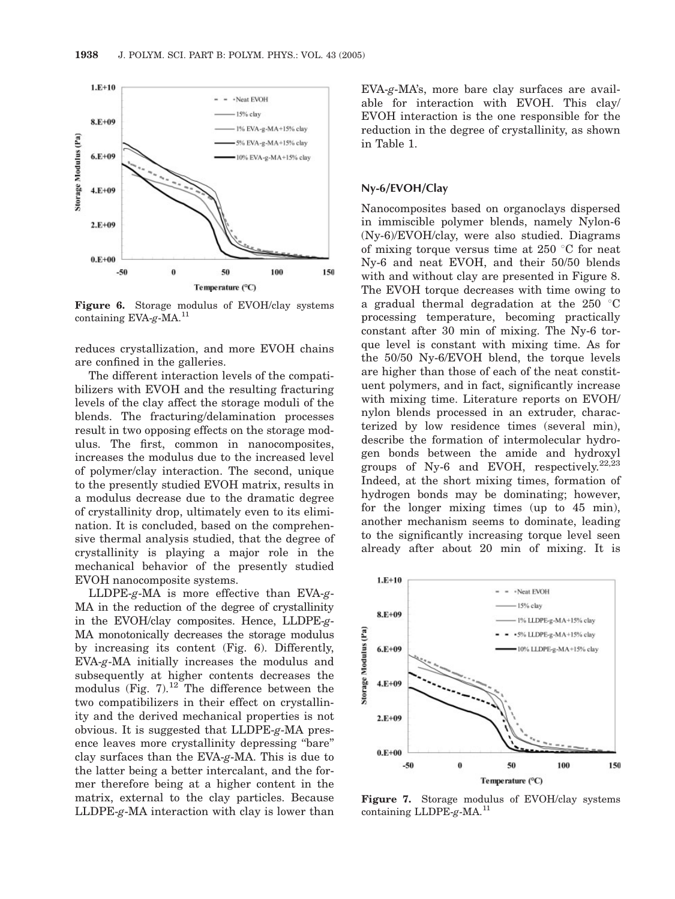

Figure 6. Storage modulus of EVOH/clay systems containing  $EVA-g-MA.<sup>11</sup>$ 

reduces crystallization, and more EVOH chains are confined in the galleries.

The different interaction levels of the compatibilizers with EVOH and the resulting fracturing levels of the clay affect the storage moduli of the blends. The fracturing/delamination processes result in two opposing effects on the storage modulus. The first, common in nanocomposites, increases the modulus due to the increased level of polymer/clay interaction. The second, unique to the presently studied EVOH matrix, results in a modulus decrease due to the dramatic degree of crystallinity drop, ultimately even to its elimination. It is concluded, based on the comprehensive thermal analysis studied, that the degree of crystallinity is playing a major role in the mechanical behavior of the presently studied EVOH nanocomposite systems.

LLDPE-g-MA is more effective than EVA-g-MA in the reduction of the degree of crystallinity in the EVOH/clay composites. Hence, LLDPE-g-MA monotonically decreases the storage modulus by increasing its content (Fig. 6). Differently, EVA-g-MA initially increases the modulus and subsequently at higher contents decreases the modulus (Fig.  $7$ ).<sup>12</sup> The difference between the two compatibilizers in their effect on crystallinity and the derived mechanical properties is not obvious. It is suggested that LLDPE-g-MA presence leaves more crystallinity depressing ''bare'' clay surfaces than the EVA-g-MA. This is due to the latter being a better intercalant, and the former therefore being at a higher content in the matrix, external to the clay particles. Because LLDPE-g-MA interaction with clay is lower than

EVA-g-MA's, more bare clay surfaces are available for interaction with EVOH. This clay/ EVOH interaction is the one responsible for the reduction in the degree of crystallinity, as shown in Table 1.

#### Ny-6/EVOH/Clay

Nanocomposites based on organoclays dispersed in immiscible polymer blends, namely Nylon-6 (Ny-6)/EVOH/clay, were also studied. Diagrams of mixing torque versus time at  $250 \degree C$  for neat Ny-6 and neat EVOH, and their 50/50 blends with and without clay are presented in Figure 8. The EVOH torque decreases with time owing to a gradual thermal degradation at the  $250\text{ °C}$ processing temperature, becoming practically constant after 30 min of mixing. The Ny-6 torque level is constant with mixing time. As for the 50/50 Ny-6/EVOH blend, the torque levels are higher than those of each of the neat constituent polymers, and in fact, significantly increase with mixing time. Literature reports on EVOH/ nylon blends processed in an extruder, characterized by low residence times (several min), describe the formation of intermolecular hydrogen bonds between the amide and hydroxyl groups of Ny-6 and EVOH, respectively.  $22,23$ Indeed, at the short mixing times, formation of hydrogen bonds may be dominating; however, for the longer mixing times (up to 45 min), another mechanism seems to dominate, leading to the significantly increasing torque level seen already after about 20 min of mixing. It is



Figure 7. Storage modulus of EVOH/clay systems containing LLDPE-g-MA.<sup>11</sup>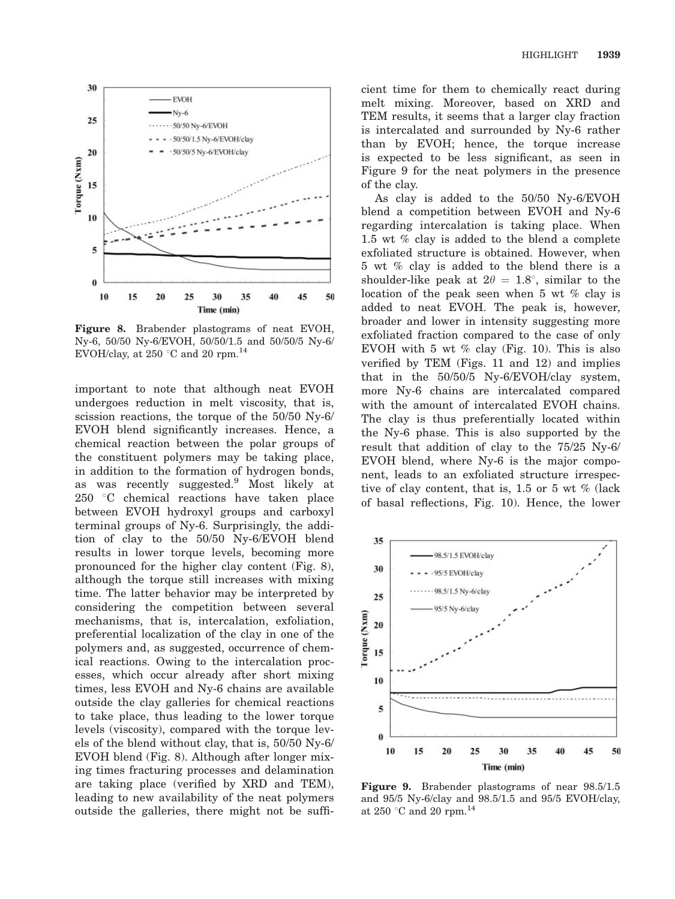

Figure 8. Brabender plastograms of neat EVOH, Ny-6, 50/50 Ny-6/EVOH, 50/50/1.5 and 50/50/5 Ny-6/ EVOH/clay, at 250  $^{\circ}$ C and 20 rpm.<sup>14</sup>

important to note that although neat EVOH undergoes reduction in melt viscosity, that is, scission reactions, the torque of the 50/50 Ny-6/ EVOH blend significantly increases. Hence, a chemical reaction between the polar groups of the constituent polymers may be taking place, in addition to the formation of hydrogen bonds, as was recently suggested.<sup>9</sup> Most likely at 250 °C chemical reactions have taken place between EVOH hydroxyl groups and carboxyl terminal groups of Ny-6. Surprisingly, the addition of clay to the 50/50 Ny-6/EVOH blend results in lower torque levels, becoming more pronounced for the higher clay content (Fig. 8), although the torque still increases with mixing time. The latter behavior may be interpreted by considering the competition between several mechanisms, that is, intercalation, exfoliation, preferential localization of the clay in one of the polymers and, as suggested, occurrence of chemical reactions. Owing to the intercalation processes, which occur already after short mixing times, less EVOH and Ny-6 chains are available outside the clay galleries for chemical reactions to take place, thus leading to the lower torque levels (viscosity), compared with the torque levels of the blend without clay, that is, 50/50 Ny-6/ EVOH blend (Fig. 8). Although after longer mixing times fracturing processes and delamination are taking place (verified by XRD and TEM), leading to new availability of the neat polymers outside the galleries, there might not be suffi-

cient time for them to chemically react during melt mixing. Moreover, based on XRD and TEM results, it seems that a larger clay fraction is intercalated and surrounded by Ny-6 rather than by EVOH; hence, the torque increase is expected to be less significant, as seen in Figure 9 for the neat polymers in the presence of the clay.

As clay is added to the 50/50 Ny-6/EVOH blend a competition between EVOH and Ny-6 regarding intercalation is taking place. When 1.5 wt % clay is added to the blend a complete exfoliated structure is obtained. However, when 5 wt % clay is added to the blend there is a shoulder-like peak at  $2\theta = 1.8^{\circ}$ , similar to the location of the peak seen when 5 wt % clay is added to neat EVOH. The peak is, however, broader and lower in intensity suggesting more exfoliated fraction compared to the case of only EVOH with 5 wt % clay (Fig. 10). This is also verified by TEM (Figs. 11 and 12) and implies that in the 50/50/5 Ny-6/EVOH/clay system, more Ny-6 chains are intercalated compared with the amount of intercalated EVOH chains. The clay is thus preferentially located within the Ny-6 phase. This is also supported by the result that addition of clay to the 75/25 Ny-6/ EVOH blend, where Ny-6 is the major component, leads to an exfoliated structure irrespective of clay content, that is, 1.5 or 5 wt  $\%$  (lack of basal reflections, Fig. 10). Hence, the lower



Figure 9. Brabender plastograms of near 98.5/1.5 and 95/5 Ny-6/clay and 98.5/1.5 and 95/5 EVOH/clay, at 250  $^{\circ}$ C and 20 rpm.<sup>14</sup>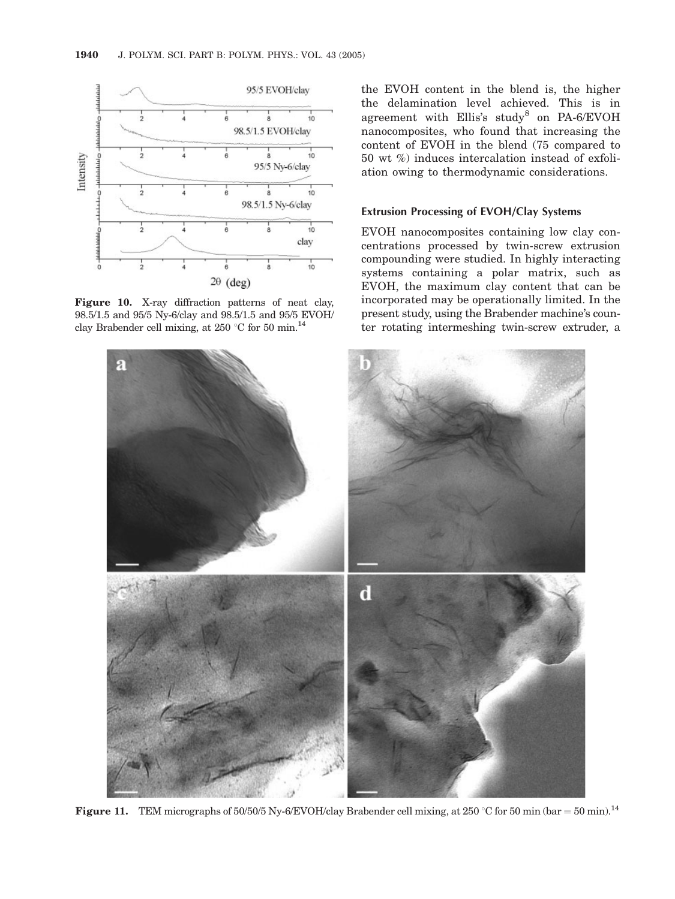

Figure 10. X-ray diffraction patterns of neat clay, 98.5/1.5 and 95/5 Ny-6/clay and 98.5/1.5 and 95/5 EVOH/ clay Brabender cell mixing, at 250  $^{\circ}$ C for 50 min.<sup>14</sup>

the EVOH content in the blend is, the higher the delamination level achieved. This is in agreement with Ellis's study<sup>8</sup> on PA-6/EVOH nanocomposites, who found that increasing the content of EVOH in the blend (75 compared to 50 wt %) induces intercalation instead of exfoliation owing to thermodynamic considerations.

#### Extrusion Processing of EVOH/Clay Systems

EVOH nanocomposites containing low clay concentrations processed by twin-screw extrusion compounding were studied. In highly interacting systems containing a polar matrix, such as EVOH, the maximum clay content that can be incorporated may be operationally limited. In the present study, using the Brabender machine's counter rotating intermeshing twin-screw extruder, a



Figure 11. TEM micrographs of 50/50/5 Ny-6/EVOH/clay Brabender cell mixing, at 250 °C for 50 min (bar = 50 min).<sup>14</sup>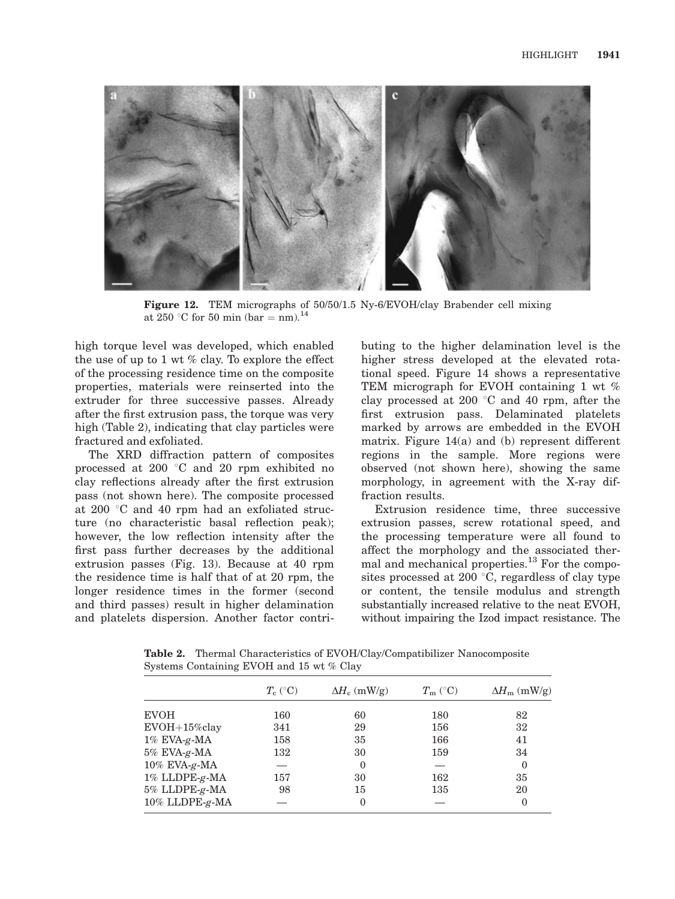

Figure 12. TEM micrographs of 50/50/1.5 Ny-6/EVOH/clay Brabender cell mixing at 250 °C for 50 min (bar = nm).<sup>14</sup>

high torque level was developed, which enabled the use of up to 1 wt  $\%$  clay. To explore the effect of the processing residence time on the composite properties, materials were reinserted into the extruder for three successive passes. Already after the first extrusion pass, the torque was very high (Table 2), indicating that clay particles were fractured and exfoliated.

The XRD diffraction pattern of composites processed at 200 °C and 20 rpm exhibited no clay reflections already after the first extrusion pass (not shown here). The composite processed at 200  $\degree$ C and 40 rpm had an exfoliated structure (no characteristic basal reflection peak); however, the low reflection intensity after the first pass further decreases by the additional extrusion passes (Fig. 13). Because at 40 rpm the residence time is half that of at 20 rpm, the longer residence times in the former (second and third passes) result in higher delamination and platelets dispersion. Another factor contri-

buting to the higher delamination level is the higher stress developed at the elevated rotational speed. Figure 14 shows a representative TEM micrograph for EVOH containing 1 wt % clay processed at 200  $\degree$ C and 40 rpm, after the first extrusion pass. Delaminated platelets marked by arrows are embedded in the EVOH matrix. Figure 14(a) and (b) represent different regions in the sample. More regions were observed (not shown here), showing the same morphology, in agreement with the X-ray diffraction results.

Extrusion residence time, three successive extrusion passes, screw rotational speed, and the processing temperature were all found to affect the morphology and the associated thermal and mechanical properties.<sup>13</sup> For the composites processed at 200 $\degree$ C, regardless of clay type or content, the tensile modulus and strength substantially increased relative to the neat EVOH, without impairing the Izod impact resistance. The

Table 2. Thermal Characteristics of EVOH/Clay/Compatibilizer Nanocomposite Systems Containing EVOH and 15 wt % Clay

|                  | $T_c$ (°C) | $\Delta H_c$ (mW/g) | $T_{\rm m}$ (°C) | $\Delta H_{\rm m}$ (mW/g) |
|------------------|------------|---------------------|------------------|---------------------------|
| <b>EVOH</b>      | 160        | 60                  | 180              | 82                        |
| $EVOH+15\%$ clay | 341        | 29                  | 156              | 32                        |
| $1\%$ EVA-g-MA   | 158        | 35                  | 166              | 41                        |
| $5\%$ EVA-g-MA   | 132        | 30                  | 159              | 34                        |
| 10% EVA-g-MA     |            | $\theta$            |                  | $\mathbf{0}$              |
| 1% LLDPE-g-MA    | 157        | 30                  | 162              | 35                        |
| 5% LLDPE-g-MA    | 98         | 15                  | 135              | 20                        |
| 10% LLDPE-g-MA   |            | $\theta$            |                  | $\Omega$                  |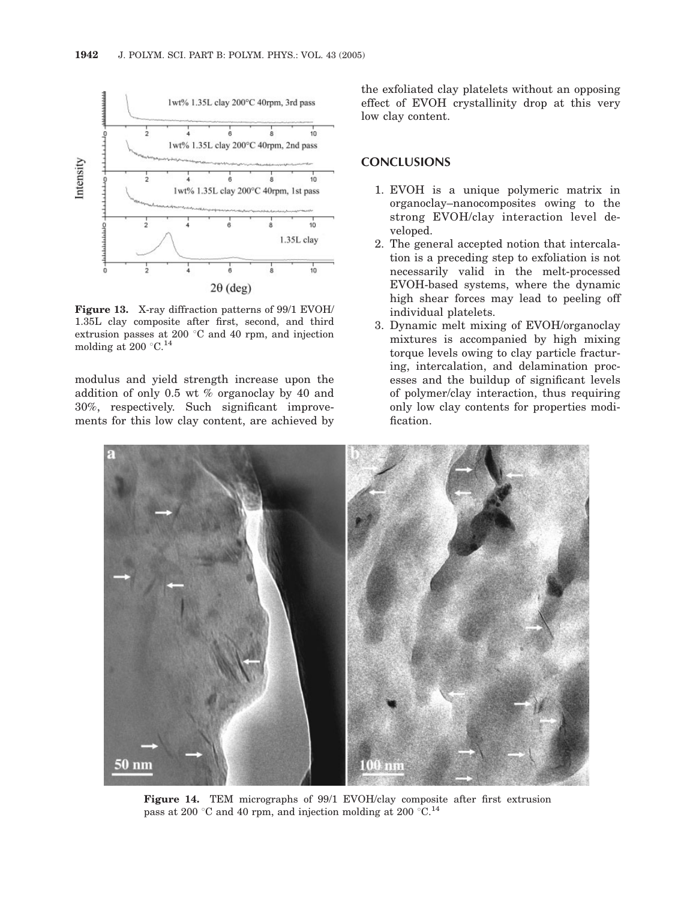

Figure 13. X-ray diffraction patterns of 99/1 EVOH/ 1.35L clay composite after first, second, and third extrusion passes at 200 $\degree$ C and 40 rpm, and injection molding at 200  $^{\circ} \mathrm{C.}^{14}$ 

modulus and yield strength increase upon the addition of only 0.5 wt % organoclay by 40 and 30%, respectively. Such significant improvements for this low clay content, are achieved by the exfoliated clay platelets without an opposing effect of EVOH crystallinity drop at this very low clay content.

## CONCLUSIONS

- 1. EVOH is a unique polymeric matrix in organoclay–nanocomposites owing to the strong EVOH/clay interaction level developed.
- 2. The general accepted notion that intercalation is a preceding step to exfoliation is not necessarily valid in the melt-processed EVOH-based systems, where the dynamic high shear forces may lead to peeling off individual platelets.
- 3. Dynamic melt mixing of EVOH/organoclay mixtures is accompanied by high mixing torque levels owing to clay particle fracturing, intercalation, and delamination processes and the buildup of significant levels of polymer/clay interaction, thus requiring only low clay contents for properties modification.



Figure 14. TEM micrographs of 99/1 EVOH/clay composite after first extrusion pass at 200  $\degree$ C and 40 rpm, and injection molding at 200  $\degree$ C.<sup>14</sup>